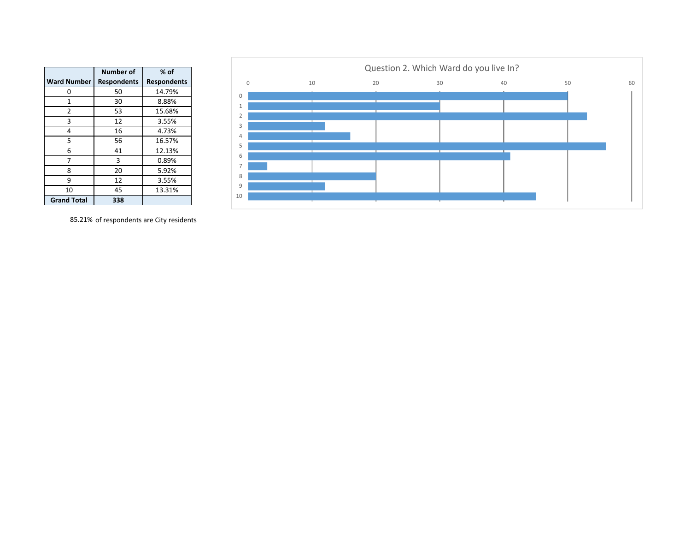|                    | Number of          | $%$ of             |
|--------------------|--------------------|--------------------|
| <b>Ward Number</b> | <b>Respondents</b> | <b>Respondents</b> |
| 0                  | 50                 | 14.79%             |
| $\mathbf{1}$       | 30                 | 8.88%              |
| 2                  | 53                 | 15.68%             |
| 3                  | 12                 | 3.55%              |
| 4                  | 16                 | 4.73%              |
| 5                  | 56                 | 16.57%             |
| 6                  | 41                 | 12.13%             |
| 7                  | 3                  | 0.89%              |
| 8                  | 20                 | 5.92%              |
| 9                  | 12                 | 3.55%              |
| 10                 | 45                 | 13.31%             |
| <b>Grand Total</b> | 338                |                    |



85.21% of respondents are City residents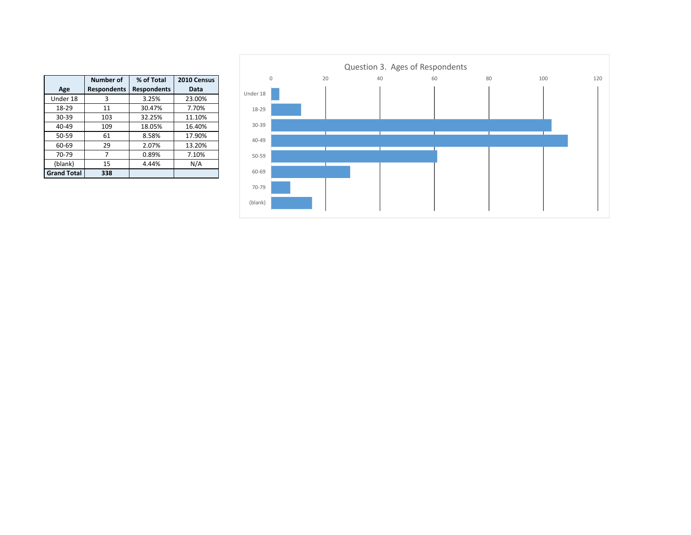|                    | <b>Number of</b>   | % of Total         | 2010 Census |
|--------------------|--------------------|--------------------|-------------|
| Age                | <b>Respondents</b> | <b>Respondents</b> | Data        |
| Under 18           | 3                  | 3.25%              | 23.00%      |
| 18-29              | 11                 | 30.47%             | 7.70%       |
| 30-39              | 103                | 32.25%             | 11.10%      |
| $40 - 49$          | 109                | 18.05%             | 16.40%      |
| $50 - 59$          | 61                 | 8.58%              | 17.90%      |
| 60-69              | 29                 | 2.07%              | 13.20%      |
| 70-79              | 7                  | 0.89%              | 7.10%       |
| (blank)            | 15                 | 4.44%              | N/A         |
| <b>Grand Total</b> | 338                |                    |             |

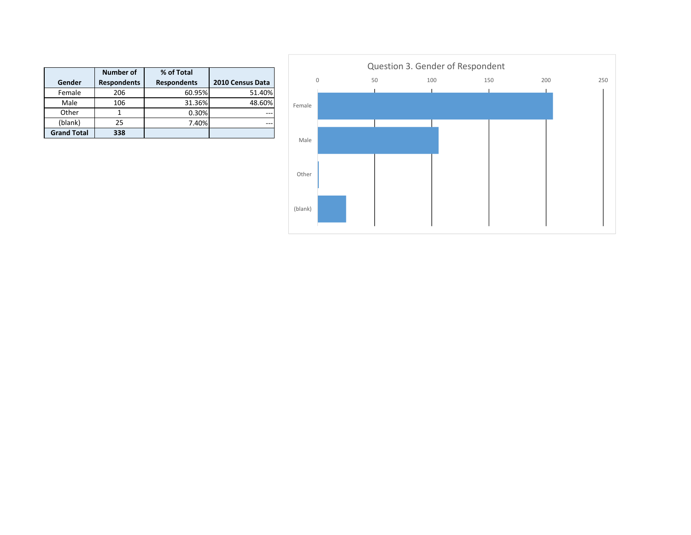|                    | <b>Number of</b>   | % of Total         |                  |
|--------------------|--------------------|--------------------|------------------|
| Gender             | <b>Respondents</b> | <b>Respondents</b> | 2010 Census Data |
| Female             | 206                | 60.95%             | 51.40%           |
| Male               | 106                | 31.36%             | 48.60%           |
| Other              |                    | 0.30%              |                  |
| (blank)            | 25                 | 7.40%              |                  |
| <b>Grand Total</b> | 338                |                    |                  |

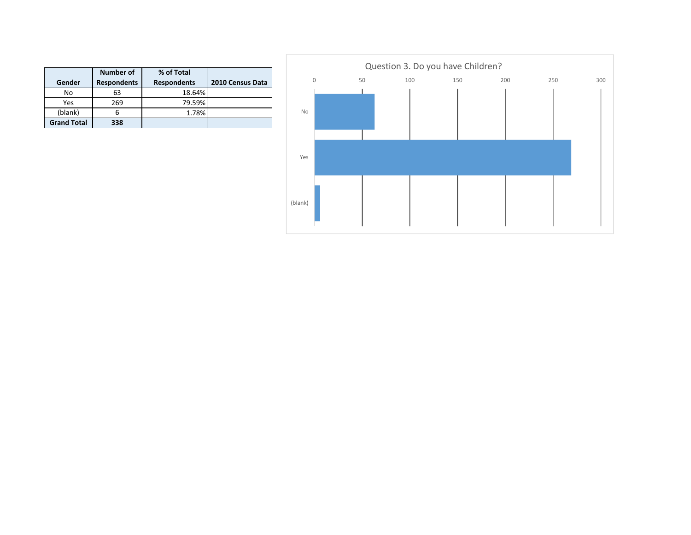|                    | Number of          | % of Total         |                  |
|--------------------|--------------------|--------------------|------------------|
| Gender             | <b>Respondents</b> | <b>Respondents</b> | 2010 Census Data |
| No                 | 63                 | 18.64%             |                  |
| Yes                | 269                | 79.59%             |                  |
| (blank)            | 6                  | 1.78%              |                  |
| <b>Grand Total</b> | 338                |                    |                  |

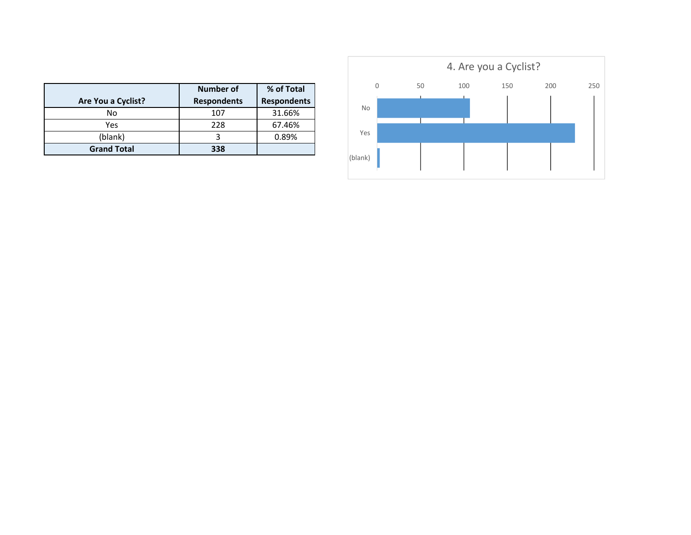| Are You a Cyclist? | Number of<br><b>Respondents</b> | % of Total<br><b>Respondents</b> |
|--------------------|---------------------------------|----------------------------------|
| No                 | 107                             | 31.66%                           |
| Yes                | 228                             | 67.46%                           |
| (blank)            |                                 | 0.89%                            |
| <b>Grand Total</b> | 338                             |                                  |

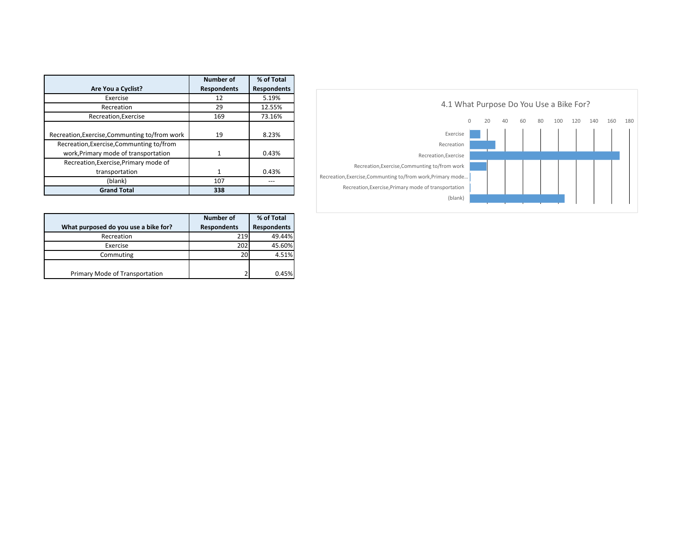|                                               | Number of          | % of Total         |
|-----------------------------------------------|--------------------|--------------------|
| Are You a Cyclist?                            | <b>Respondents</b> | <b>Respondents</b> |
| Exercise                                      | 12                 | 5.19%              |
| Recreation                                    | 29                 | 12.55%             |
| Recreation, Exercise                          | 169                | 73.16%             |
|                                               |                    |                    |
| Recreation, Exercise, Communting to/from work | 19                 | 8.23%              |
| Recreation, Exercise, Communting to/from      |                    |                    |
| work, Primary mode of transportation          | 1                  | 0.43%              |
| Recreation, Exercise, Primary mode of         |                    |                    |
| transportation                                | $\mathbf{1}$       | 0.43%              |
| (blank)                                       | 107                |                    |
| <b>Grand Total</b>                            | 338                |                    |

|                                      | Number of          | % of Total         |
|--------------------------------------|--------------------|--------------------|
| What purposed do you use a bike for? | <b>Respondents</b> | <b>Respondents</b> |
| Recreation                           | 219                | 49.44%             |
| Exercise                             | 202                | 45.60%             |
| Commuting                            | 20                 | 4.51%              |
|                                      |                    |                    |
| Primary Mode of Transportation       | ำ                  | 0.45%              |

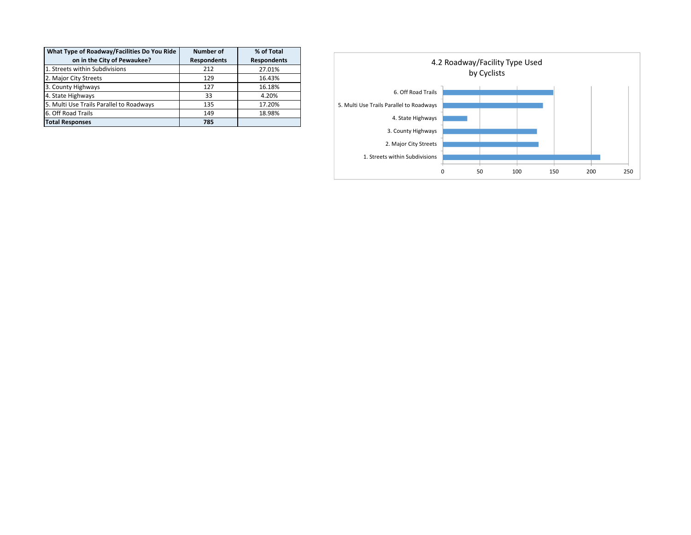| What Type of Roadway/Facilities Do You Ride | <b>Number of</b>   | % of Total         |
|---------------------------------------------|--------------------|--------------------|
| on in the City of Pewaukee?                 | <b>Respondents</b> | <b>Respondents</b> |
| 1. Streets within Subdivisions              | 212                | 27.01%             |
| 2. Major City Streets                       | 129                | 16.43%             |
| 3. County Highways                          | 127                | 16.18%             |
| 4. State Highways                           | 33                 | 4.20%              |
| 5. Multi Use Trails Parallel to Roadways    | 135                | 17.20%             |
| 6. Off Road Trails                          | 149                | 18.98%             |
| <b>Total Responses</b>                      | 785                |                    |

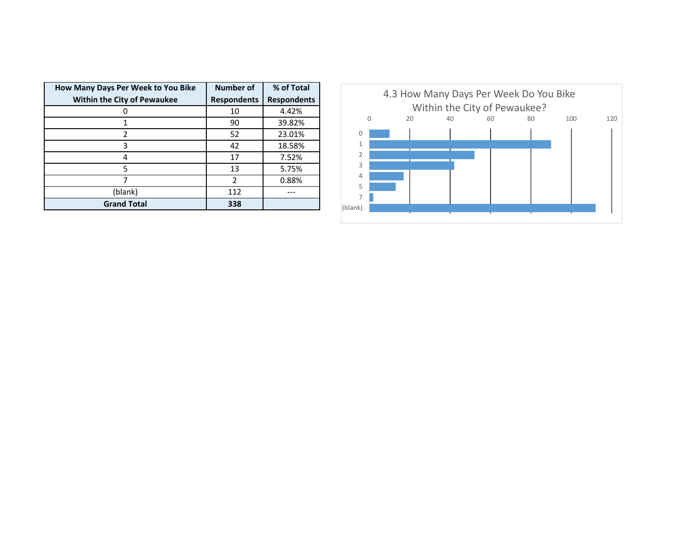| How Many Days Per Week to You Bike | <b>Number of</b>        | % of Total         |
|------------------------------------|-------------------------|--------------------|
| <b>Within the City of Pewaukee</b> | <b>Respondents</b>      | <b>Respondents</b> |
|                                    | 10                      | 4.42%              |
|                                    | 90                      | 39.82%             |
| 2                                  | 52                      | 23.01%             |
| 3                                  | 42                      | 18.58%             |
|                                    | 17                      | 7.52%              |
| 5                                  | 13                      | 5.75%              |
|                                    | $\overline{\mathbf{c}}$ | 0.88%              |
| (blank)                            | 112                     |                    |
| <b>Grand Total</b>                 | 338                     |                    |

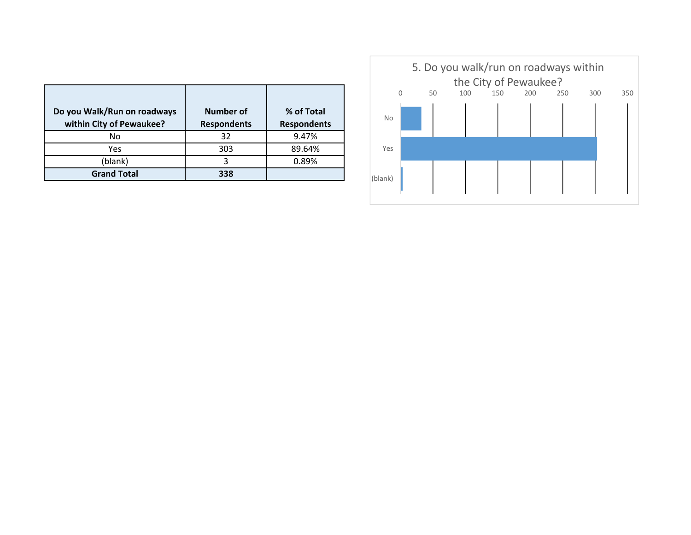| Do you Walk/Run on roadways<br>within City of Pewaukee? | Number of<br><b>Respondents</b> | % of Total<br><b>Respondents</b> |
|---------------------------------------------------------|---------------------------------|----------------------------------|
| No                                                      | 32                              | 9.47%                            |
| Yes                                                     | 303                             | 89.64%                           |
| (blank)                                                 | 3                               | 0.89%                            |
| <b>Grand Total</b>                                      | 338                             |                                  |

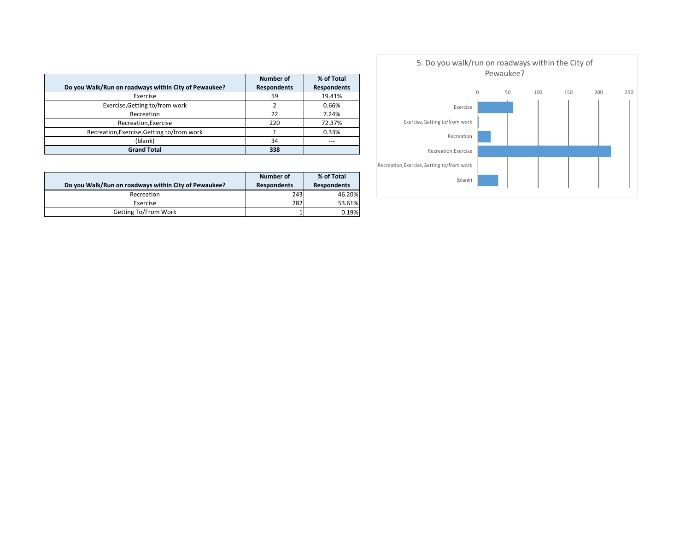|                                                      | Number of          | % of Total         |
|------------------------------------------------------|--------------------|--------------------|
| Do you Walk/Run on roadways within City of Pewaukee? | <b>Respondents</b> | <b>Respondents</b> |
| Exercise                                             | 59                 | 19.41%             |
| Exercise, Getting to/from work                       |                    | 0.66%              |
| Recreation                                           | 22                 | 7.24%              |
| Recreation, Exercise                                 | 220                | 72.37%             |
| Recreation, Exercise, Getting to/from work           |                    | 0.33%              |
| (blank)                                              | 34                 | ---                |
| <b>Grand Total</b>                                   | 338                |                    |

|                                                      | Number of          | % of Total         |
|------------------------------------------------------|--------------------|--------------------|
| Do you Walk/Run on roadways within City of Pewaukee? | <b>Respondents</b> | <b>Respondents</b> |
| Recreation                                           | 243                | 46.20%             |
| Exercise                                             | 282                | 53.61%             |
| Getting To/From Work                                 |                    | 0.19%              |

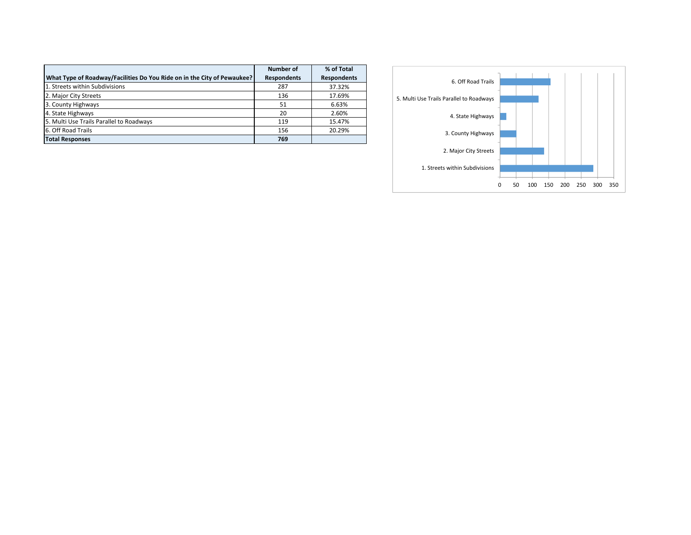|                                                                         | <b>Number of</b>   | % of Total         |
|-------------------------------------------------------------------------|--------------------|--------------------|
| What Type of Roadway/Facilities Do You Ride on in the City of Pewaukee? | <b>Respondents</b> | <b>Respondents</b> |
| 1. Streets within Subdivisions                                          | 287                | 37.32%             |
| 2. Major City Streets                                                   | 136                | 17.69%             |
| 3. County Highways                                                      | 51                 | 6.63%              |
| 4. State Highways                                                       | 20                 | 2.60%              |
| 5. Multi Use Trails Parallel to Roadways                                | 119                | 15.47%             |
| 6. Off Road Trails                                                      | 156                | 20.29%             |
| <b>Total Responses</b>                                                  | 769                |                    |

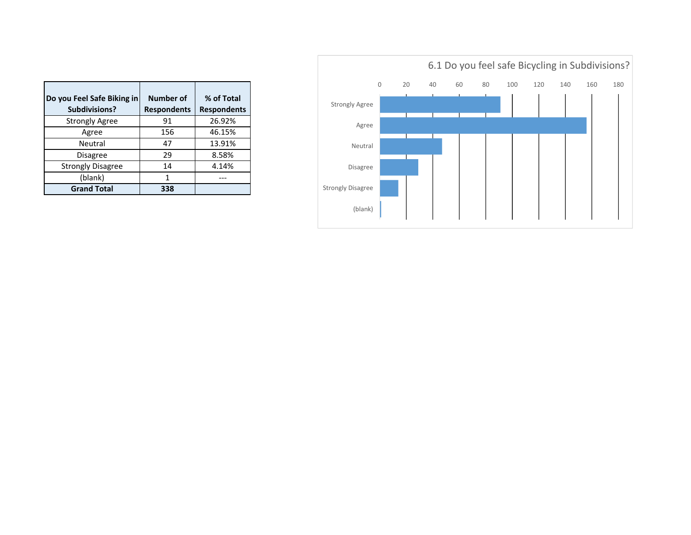| Do you Feel Safe Biking in<br>Subdivisions? | Number of<br><b>Respondents</b> | % of Total<br><b>Respondents</b> |
|---------------------------------------------|---------------------------------|----------------------------------|
| <b>Strongly Agree</b>                       | 91                              | 26.92%                           |
| Agree                                       | 156                             | 46.15%                           |
| Neutral                                     | 47                              | 13.91%                           |
| <b>Disagree</b>                             | 29                              | 8.58%                            |
| <b>Strongly Disagree</b>                    | 14                              | 4.14%                            |
| (blank)                                     | 1                               |                                  |
| <b>Grand Total</b>                          | 338                             |                                  |

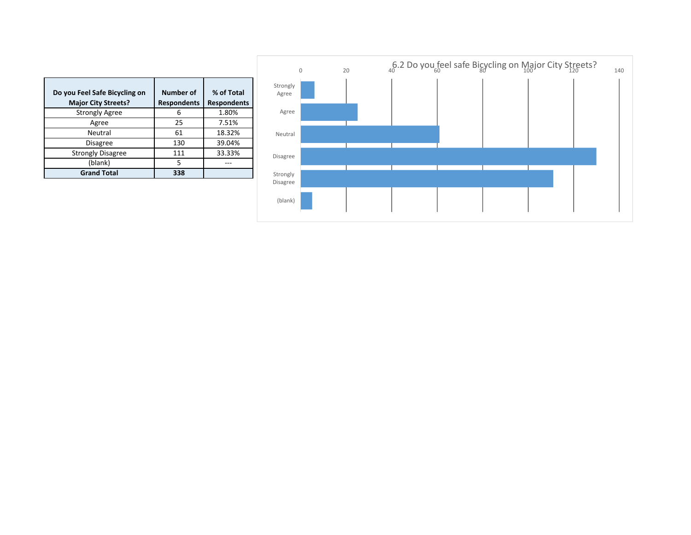| Do you Feel Safe Bicycling on<br><b>Major City Streets?</b> | <b>Number of</b><br><b>Respondents</b> | % of Total<br><b>Respondents</b> |
|-------------------------------------------------------------|----------------------------------------|----------------------------------|
| <b>Strongly Agree</b>                                       | հ                                      | 1.80%                            |
| Agree                                                       | 25                                     | 7.51%                            |
| Neutral                                                     | 61                                     | 18.32%                           |
| <b>Disagree</b>                                             | 130                                    | 39.04%                           |
| <b>Strongly Disagree</b>                                    | 111                                    | 33.33%                           |
| (blank)                                                     | 5                                      |                                  |
| <b>Grand Total</b>                                          | 338                                    |                                  |

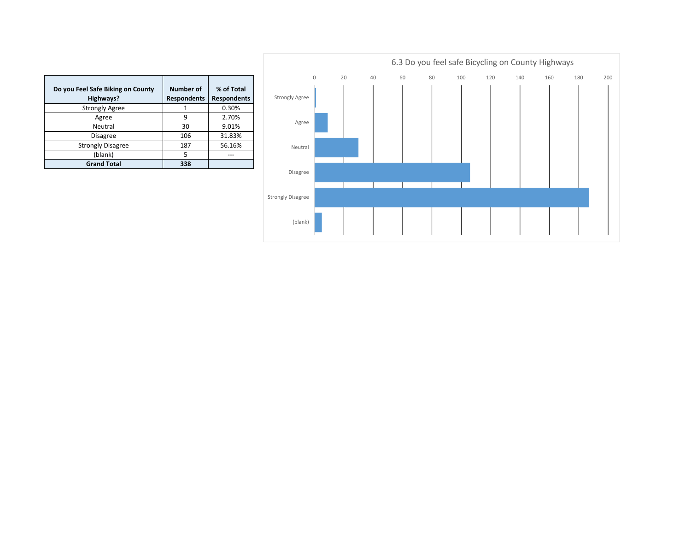| Do you Feel Safe Biking on County<br>Highways? | <b>Number of</b><br><b>Respondents</b> | % of Total<br><b>Respondents</b> |
|------------------------------------------------|----------------------------------------|----------------------------------|
| <b>Strongly Agree</b>                          |                                        | 0.30%                            |
| Agree                                          | 9                                      | 2.70%                            |
| Neutral                                        | 30                                     | 9.01%                            |
| <b>Disagree</b>                                | 106                                    | 31.83%                           |
| <b>Strongly Disagree</b>                       | 187                                    | 56.16%                           |
| (blank)                                        | 5                                      |                                  |
| <b>Grand Total</b>                             | 338                                    |                                  |

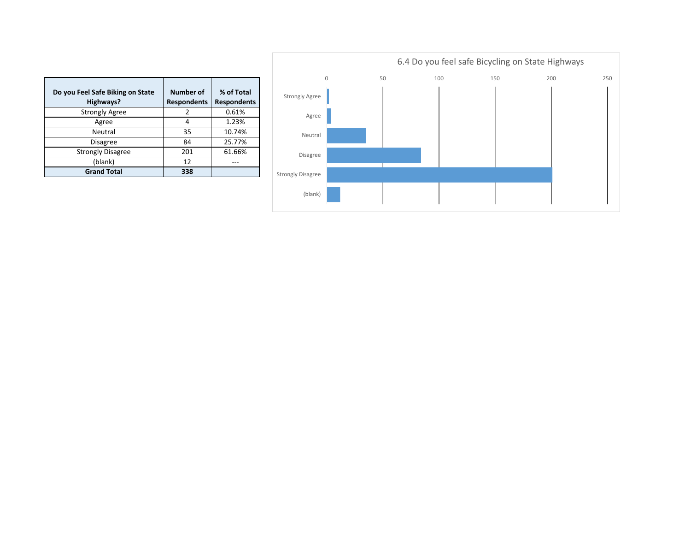| Do you Feel Safe Biking on State<br>Highways? | Number of<br><b>Respondents</b> | % of Total<br><b>Respondents</b> |
|-----------------------------------------------|---------------------------------|----------------------------------|
| <b>Strongly Agree</b>                         | 2                               | 0.61%                            |
| Agree                                         | 4                               | 1.23%                            |
| Neutral                                       | 35                              | 10.74%                           |
| <b>Disagree</b>                               | 84                              | 25.77%                           |
| <b>Strongly Disagree</b>                      | 201                             | 61.66%                           |
| (blank)                                       | 12                              |                                  |
| <b>Grand Total</b>                            | 338                             |                                  |

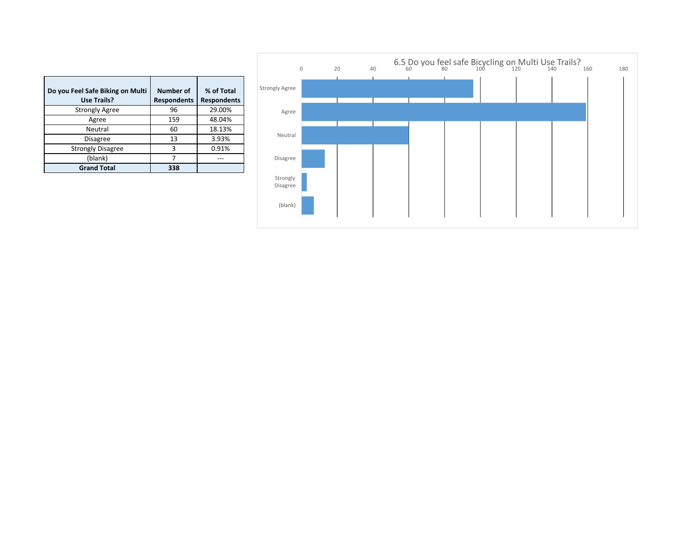| Do you Feel Safe Biking on Multi<br><b>Use Trails?</b> | <b>Number of</b><br><b>Respondents</b> | % of Total<br><b>Respondents</b> |
|--------------------------------------------------------|----------------------------------------|----------------------------------|
| <b>Strongly Agree</b>                                  | 96                                     | 29.00%                           |
| Agree                                                  | 159                                    | 48.04%                           |
| Neutral                                                | 60                                     | 18.13%                           |
| <b>Disagree</b>                                        | 13                                     | 3.93%                            |
| <b>Strongly Disagree</b>                               | ξ                                      | 0.91%                            |
| (blank)                                                |                                        |                                  |
| <b>Grand Total</b>                                     | 338                                    |                                  |

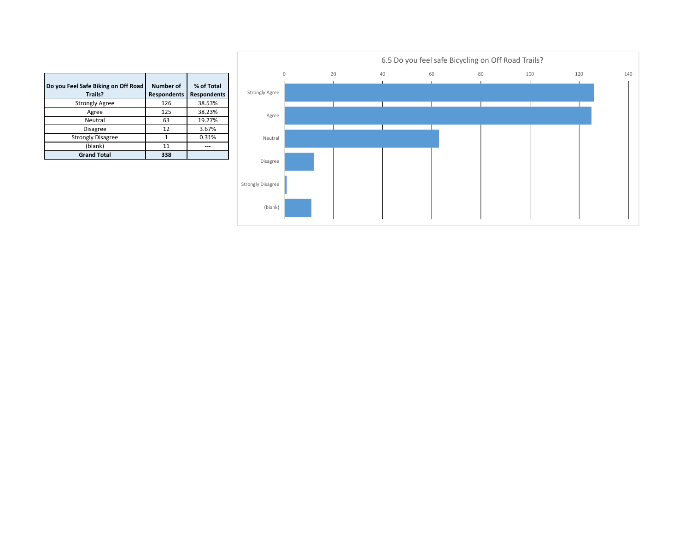| Do you Feel Safe Biking on Off Road<br>Trails? | Number of<br><b>Respondents</b> | % of Total<br><b>Respondents</b> |
|------------------------------------------------|---------------------------------|----------------------------------|
| <b>Strongly Agree</b>                          | 126                             | 38.53%                           |
| Agree                                          | 125                             | 38.23%                           |
| Neutral                                        | 63                              | 19.27%                           |
| <b>Disagree</b>                                | 12                              | 3.67%                            |
| <b>Strongly Disagree</b>                       | 1                               | 0.31%                            |
| (blank)                                        | 11                              | ---                              |
| <b>Grand Total</b>                             | 338                             |                                  |

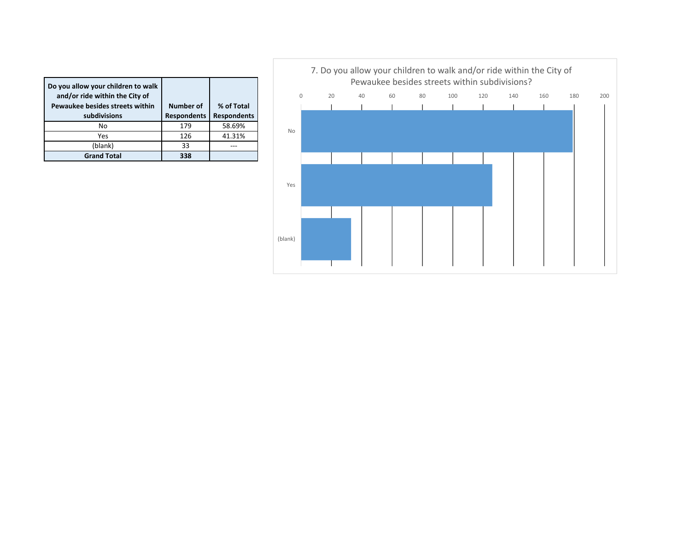| Do you allow your children to walk<br>and/or ride within the City of<br>Pewaukee besides streets within<br>subdivisions | Number of<br><b>Respondents</b> | % of Total<br><b>Respondents</b> |
|-------------------------------------------------------------------------------------------------------------------------|---------------------------------|----------------------------------|
| No                                                                                                                      | 179                             | 58.69%                           |
| Yes                                                                                                                     | 126                             | 41.31%                           |
| (blank)                                                                                                                 | 33                              |                                  |
| <b>Grand Total</b>                                                                                                      | 338                             |                                  |

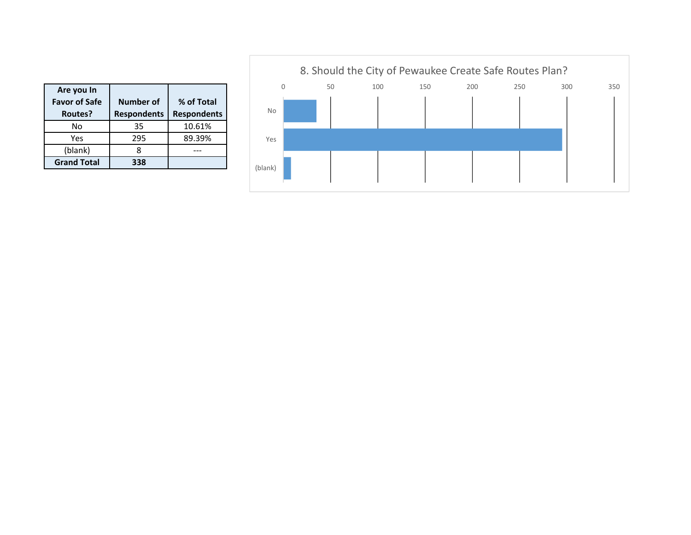| Are you In<br><b>Favor of Safe</b><br>Routes? | Number of<br><b>Respondents</b> | % of Total<br><b>Respondents</b> |
|-----------------------------------------------|---------------------------------|----------------------------------|
| Nο                                            | 35                              | 10.61%                           |
| Yes                                           | 295                             | 89.39%                           |
| (blank)                                       |                                 |                                  |
| <b>Grand Total</b>                            | 338                             |                                  |

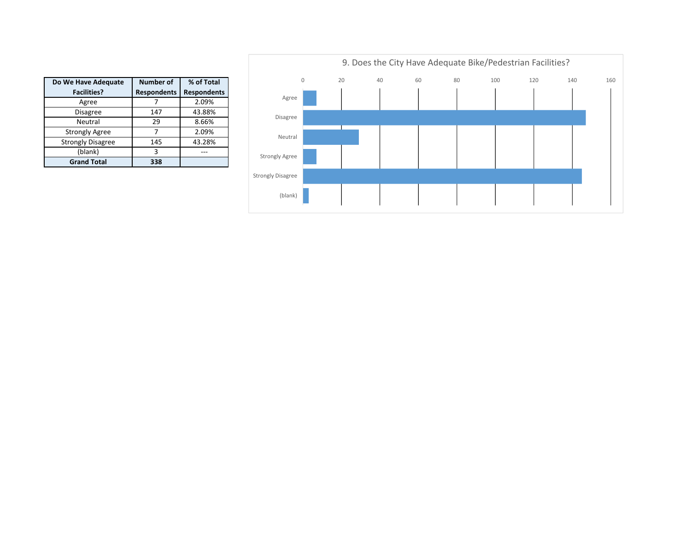| Do We Have Adequate      | <b>Number of</b>   | % of Total         |
|--------------------------|--------------------|--------------------|
| <b>Facilities?</b>       | <b>Respondents</b> | <b>Respondents</b> |
| Agree                    |                    | 2.09%              |
| <b>Disagree</b>          | 147                | 43.88%             |
| Neutral                  | 29                 | 8.66%              |
| <b>Strongly Agree</b>    |                    | 2.09%              |
| <b>Strongly Disagree</b> | 145                | 43.28%             |
| (blank)                  | ς                  |                    |
| <b>Grand Total</b>       | 338                |                    |

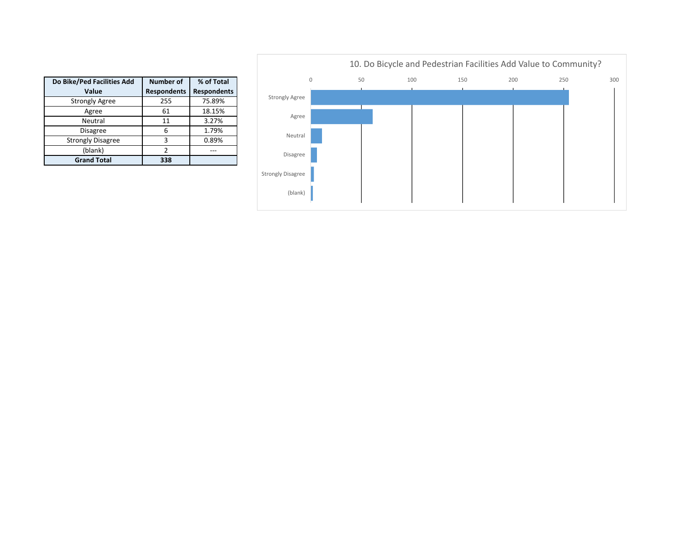

300

| Do Bike/Ped Facilities Add | <b>Number of</b>   | % of Total         |
|----------------------------|--------------------|--------------------|
| Value                      | <b>Respondents</b> | <b>Respondents</b> |
| <b>Strongly Agree</b>      | 255                | 75.89%             |
| Agree                      | 61                 | 18.15%             |
| Neutral                    | 11                 | 3.27%              |
| <b>Disagree</b>            | 6                  | 1.79%              |
| <b>Strongly Disagree</b>   | 3                  | 0.89%              |
| (blank)                    | 2                  |                    |
| <b>Grand Total</b>         | 338                |                    |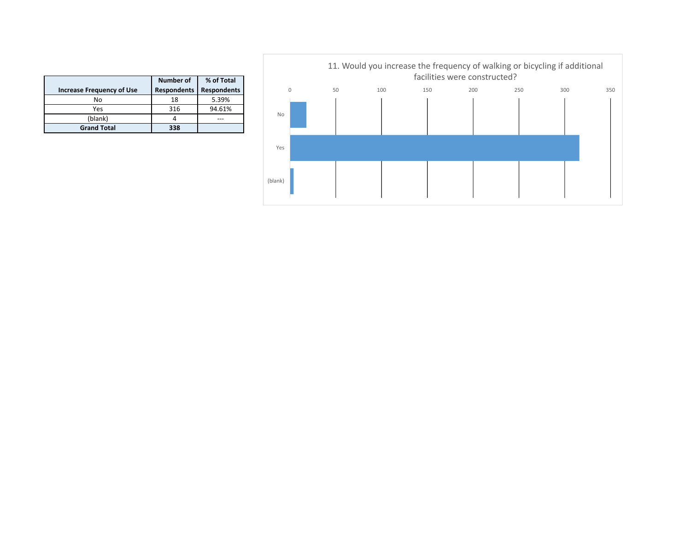|                                  | Number of          | % of Total         |
|----------------------------------|--------------------|--------------------|
| <b>Increase Frequency of Use</b> | <b>Respondents</b> | <b>Respondents</b> |
| No                               | 18                 | 5.39%              |
| Yes                              | 316                | 94.61%             |
| (blank)                          |                    |                    |
| <b>Grand Total</b>               | 338                |                    |

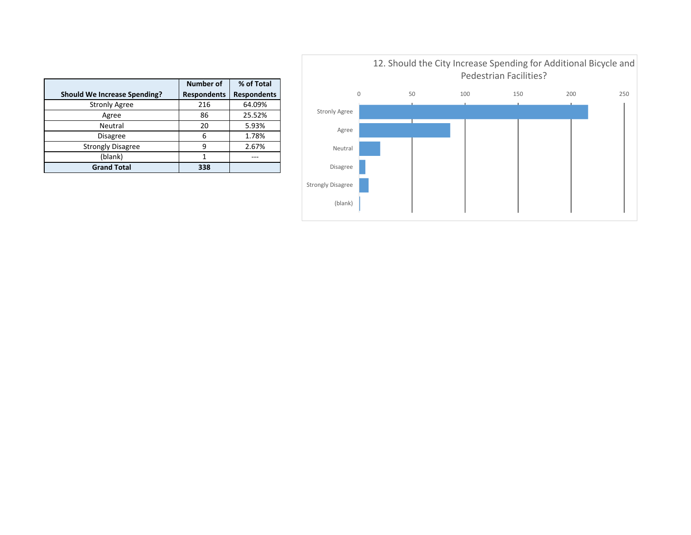

|                                     | Number of          | % of Total         |
|-------------------------------------|--------------------|--------------------|
| <b>Should We Increase Spending?</b> | <b>Respondents</b> | <b>Respondents</b> |
| <b>Stronly Agree</b>                | 216                | 64.09%             |
| Agree                               | 86                 | 25.52%             |
| Neutral                             | 20                 | 5.93%              |
| <b>Disagree</b>                     | 6                  | 1.78%              |
| <b>Strongly Disagree</b>            | q                  | 2.67%              |
| (blank)                             |                    |                    |
| <b>Grand Total</b>                  | 338                |                    |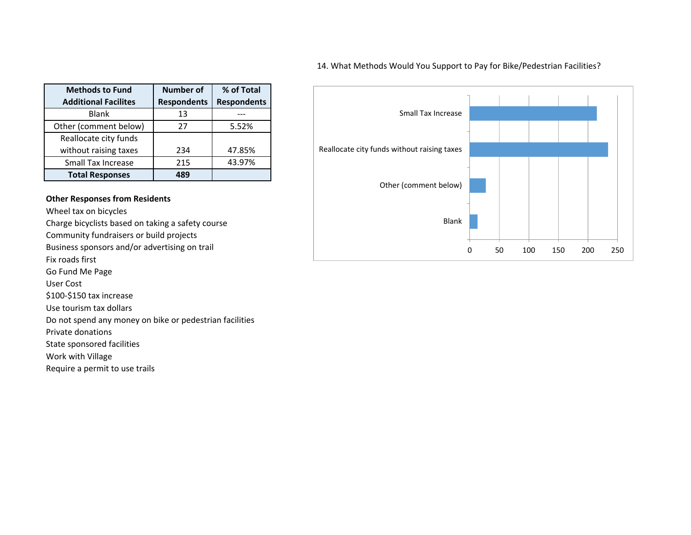## 14. What Methods Would You Support to Pay for Bike/Pedestrian Facilities?

| <b>Methods to Fund</b>      | <b>Number of</b>   | % of Total         |
|-----------------------------|--------------------|--------------------|
| <b>Additional Facilites</b> | <b>Respondents</b> | <b>Respondents</b> |
| <b>Blank</b>                | 13                 |                    |
| Other (comment below)       | 27                 | 5.52%              |
| Reallocate city funds       |                    |                    |
| without raising taxes       | 234                | 47.85%             |
| <b>Small Tax Increase</b>   | 215                | 43.97%             |
| <b>Total Responses</b>      | 489                |                    |

## **Other Responses from Residents**

Wheel tax on bicycles

Charge bicyclists based on taking <sup>a</sup> safety course

Community fundraisers or build projects

Business sponsors and/or advertising on trail

Fix roads first

Go Fund Me Page

User Cost

\$100‐\$150 tax increase

Use tourism tax dollars

Do not spend any money on bike or pedestrian facilities

Private donations

State sponsored facilities

Work with Village

Require <sup>a</sup> permit to use trails

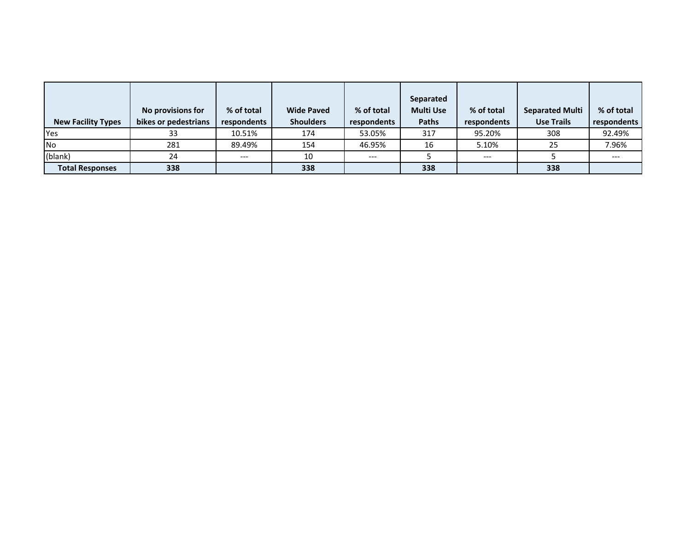| <b>New Facility Types</b> | No provisions for<br>bikes or pedestrians | % of total<br>respondents | <b>Wide Paved</b><br><b>Shoulders</b> | % of total<br>respondents | Separated<br><b>Multi Use</b><br><b>Paths</b> | % of total<br>respondents | <b>Separated Multi</b><br><b>Use Trails</b> | % of total<br>respondents |
|---------------------------|-------------------------------------------|---------------------------|---------------------------------------|---------------------------|-----------------------------------------------|---------------------------|---------------------------------------------|---------------------------|
| Yes                       | 33                                        | 10.51%                    | 174                                   | 53.05%                    | 317                                           | 95.20%                    | 308                                         | 92.49%                    |
| <b>No</b>                 | 281                                       | 89.49%                    | 154                                   | 46.95%                    | 16                                            | 5.10%                     | 25                                          | 7.96%                     |
| (blank)                   | 24                                        | $---$                     | 10                                    | $---$                     |                                               | $---$                     |                                             | $---$                     |
| <b>Total Responses</b>    | 338                                       |                           | 338                                   |                           | 338                                           |                           | 338                                         |                           |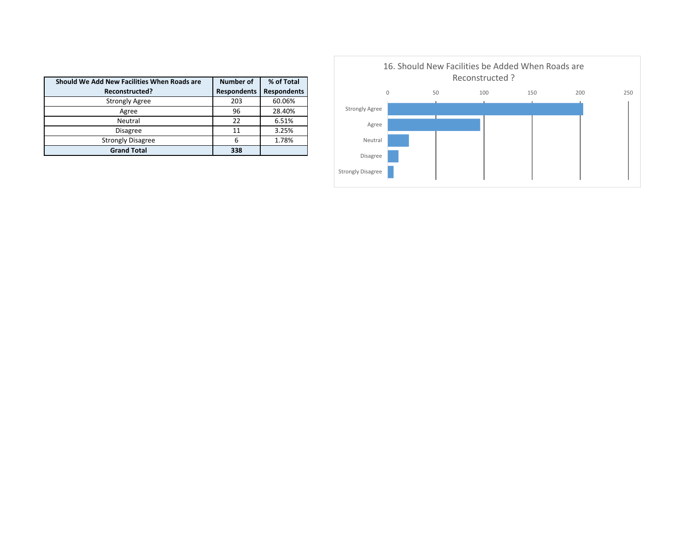| Should We Add New Facilities When Roads are | <b>Number of</b>   | % of Total         |
|---------------------------------------------|--------------------|--------------------|
| Reconstructed?                              | <b>Respondents</b> | <b>Respondents</b> |
| <b>Strongly Agree</b>                       | 203                | 60.06%             |
| Agree                                       | 96                 | 28.40%             |
| Neutral                                     | 22                 | 6.51%              |
| <b>Disagree</b>                             | 11                 | 3.25%              |
| <b>Strongly Disagree</b>                    | 6                  | 1.78%              |
| <b>Grand Total</b>                          | 338                |                    |